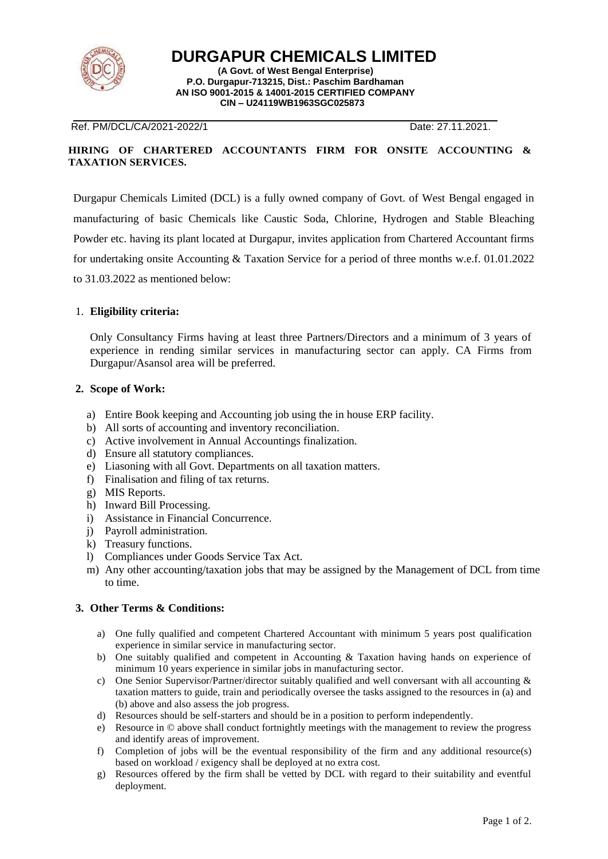

**DURGAPUR CHEMICALS LIMITED**

**(A Govt. of West Bengal Enterprise) P.O. Durgapur-713215, Dist.: Paschim Bardhaman AN ISO 9001-2015 & 14001-2015 CERTIFIED COMPANY CIN – U24119WB1963SGC025873**

## Ref. PM/DCL/CA/2021-2022/1 Date: 27.11.2021.

#### **HIRING OF CHARTERED ACCOUNTANTS FIRM FOR ONSITE ACCOUNTING & TAXATION SERVICES.**

Durgapur Chemicals Limited (DCL) is a fully owned company of Govt. of West Bengal engaged in manufacturing of basic Chemicals like Caustic Soda, Chlorine, Hydrogen and Stable Bleaching Powder etc. having its plant located at Durgapur, invites application from Chartered Accountant firms for undertaking onsite Accounting & Taxation Service for a period of three months w.e.f. 01.01.2022 to 31.03.2022 as mentioned below:

# 1. **Eligibility criteria:**

Only Consultancy Firms having at least three Partners/Directors and a minimum of 3 years of experience in rending similar services in manufacturing sector can apply. CA Firms from Durgapur/Asansol area will be preferred.

## **2. Scope of Work:**

- a) Entire Book keeping and Accounting job using the in house ERP facility.
- b) All sorts of accounting and inventory reconciliation.
- c) Active involvement in Annual Accountings finalization.
- d) Ensure all statutory compliances.
- e) Liasoning with all Govt. Departments on all taxation matters.
- f) Finalisation and filing of tax returns.
- g) MIS Reports.
- h) Inward Bill Processing.
- i) Assistance in Financial Concurrence.
- j) Payroll administration.
- k) Treasury functions.
- l) Compliances under Goods Service Tax Act.
- m) Any other accounting/taxation jobs that may be assigned by the Management of DCL from time to time.

## **3. Other Terms & Conditions:**

- a) One fully qualified and competent Chartered Accountant with minimum 5 years post qualification experience in similar service in manufacturing sector.
- b) One suitably qualified and competent in Accounting & Taxation having hands on experience of minimum 10 years experience in similar jobs in manufacturing sector.
- c) One Senior Supervisor/Partner/director suitably qualified and well conversant with all accounting & taxation matters to guide, train and periodically oversee the tasks assigned to the resources in (a) and (b) above and also assess the job progress.
- d) Resources should be self-starters and should be in a position to perform independently.
- e) Resource in © above shall conduct fortnightly meetings with the management to review the progress and identify areas of improvement.
- f) Completion of jobs will be the eventual responsibility of the firm and any additional resource(s) based on workload / exigency shall be deployed at no extra cost.
- g) Resources offered by the firm shall be vetted by DCL with regard to their suitability and eventful deployment.